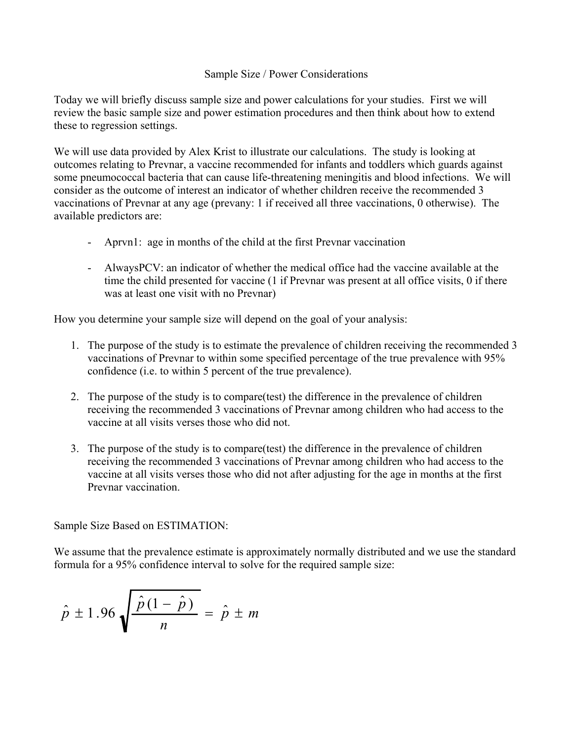## Sample Size / Power Considerations

Today we will briefly discuss sample size and power calculations for your studies. First we will review the basic sample size and power estimation procedures and then think about how to extend these to regression settings.

We will use data provided by Alex Krist to illustrate our calculations. The study is looking at outcomes relating to Prevnar, a vaccine recommended for infants and toddlers which guards against some pneumococcal bacteria that can cause life-threatening meningitis and blood infections. We will consider as the outcome of interest an indicator of whether children receive the recommended 3 vaccinations of Prevnar at any age (prevany: 1 if received all three vaccinations, 0 otherwise). The available predictors are:

- Aprvn1: age in months of the child at the first Prevnar vaccination
- AlwaysPCV: an indicator of whether the medical office had the vaccine available at the time the child presented for vaccine (1 if Prevnar was present at all office visits, 0 if there was at least one visit with no Prevnar)

How you determine your sample size will depend on the goal of your analysis:

- 1. The purpose of the study is to estimate the prevalence of children receiving the recommended 3 vaccinations of Prevnar to within some specified percentage of the true prevalence with 95% confidence (i.e. to within 5 percent of the true prevalence).
- 2. The purpose of the study is to compare(test) the difference in the prevalence of children receiving the recommended 3 vaccinations of Prevnar among children who had access to the vaccine at all visits verses those who did not.
- 3. The purpose of the study is to compare(test) the difference in the prevalence of children receiving the recommended 3 vaccinations of Prevnar among children who had access to the vaccine at all visits verses those who did not after adjusting for the age in months at the first Prevnar vaccination.

Sample Size Based on ESTIMATION:

We assume that the prevalence estimate is approximately normally distributed and we use the standard formula for a 95% confidence interval to solve for the required sample size:

$$
\hat{p} \pm 1.96 \sqrt{\frac{\hat{p}(1-\hat{p})}{n}} = \hat{p} \pm m
$$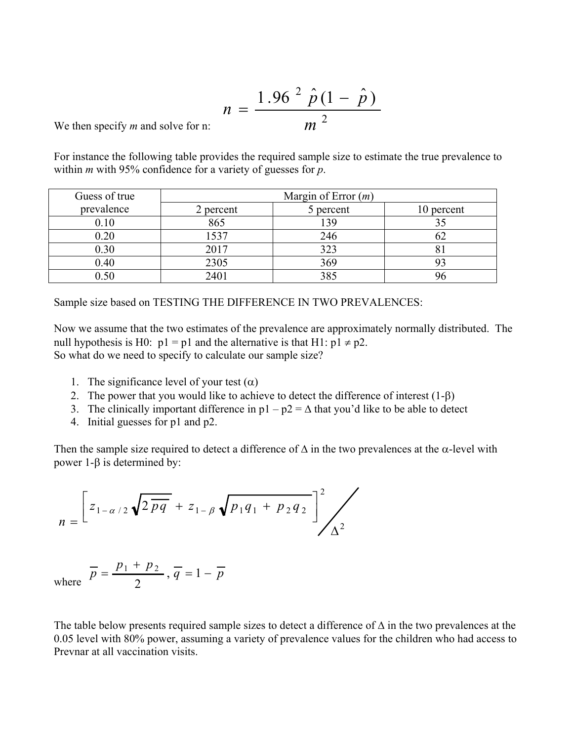$$
n = \frac{1.96 \stackrel{2}{p} (1 - \stackrel{2}{p})}{m^2}
$$

We then specify *m* and solve for n:

For instance the following table provides the required sample size to estimate the true prevalence to within *m* with 95% confidence for a variety of guesses for *p*.

| Guess of true | Margin of Error $(m)$ |           |            |
|---------------|-----------------------|-----------|------------|
| prevalence    | 2 percent             | 5 percent | 10 percent |
| 0.10          | 865                   | 139       |            |
| 0.20          | 1537                  | 246       |            |
| 0.30          | 2017                  | 323       |            |
| 0.40          | 2305                  | 369       |            |
| 0.50          | 2401                  | 385       |            |

Sample size based on TESTING THE DIFFERENCE IN TWO PREVALENCES:

Now we assume that the two estimates of the prevalence are approximately normally distributed. The null hypothesis is H0:  $p1 = p1$  and the alternative is that H1:  $p1 \neq p2$ . So what do we need to specify to calculate our sample size?

- 1. The significance level of your test  $(\alpha)$
- 2. The power that you would like to achieve to detect the difference of interest (1-β)
- 3. The clinically important difference in  $p1 p2 = \Delta$  that you'd like to be able to detect
- 4. Initial guesses for p1 and p2.

Then the sample size required to detect a difference of  $\Delta$  in the two prevalences at the  $\alpha$ -level with power 1-β is determined by:

$$
n = \left[ z_{1-\alpha/2} \sqrt{2 \overline{pq}} + z_{1-\beta} \sqrt{p_1 q_1 + p_2 q_2} \right]^2 / \sqrt{\Delta^2}
$$

where  $\overline{p} = \frac{P_1 + P_2}{2}$ ,  $\overline{q} = 1 - \overline{p}$  $\overline{p} = \frac{p_1 + p_2}{\overline{p}}$ ,  $\overline{q} = 1 -$ 2  $_1$  +  $p_2$ 

The table below presents required sample sizes to detect a difference of  $\Delta$  in the two prevalences at the 0.05 level with 80% power, assuming a variety of prevalence values for the children who had access to Prevnar at all vaccination visits.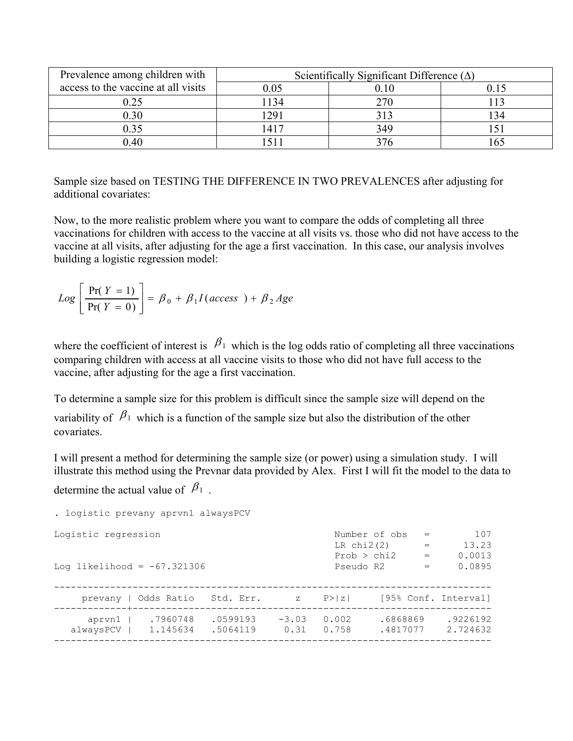| Prevalence among children with      | Scientifically Significant Difference $(\Delta)$ |     |  |  |
|-------------------------------------|--------------------------------------------------|-----|--|--|
| access to the vaccine at all visits |                                                  |     |  |  |
| 0.25                                | 134                                              | 270 |  |  |
| 0.30                                | 291                                              | 313 |  |  |
| ).35                                | 1417                                             | 349 |  |  |
| $0.40\,$                            |                                                  |     |  |  |

Sample size based on TESTING THE DIFFERENCE IN TWO PREVALENCES after adjusting for additional covariates:

Now, to the more realistic problem where you want to compare the odds of completing all three vaccinations for children with access to the vaccine at all visits vs. those who did not have access to the vaccine at all visits, after adjusting for the age a first vaccination. In this case, our analysis involves building a logistic regression model:

$$
Log\left[\frac{Pr(Y=1)}{Pr(Y=0)}\right] = \beta_0 + \beta_1 I(access) + \beta_2 Age
$$

where the coefficient of interest is  $\beta_1$  which is the log odds ratio of completing all three vaccinations comparing children with access at all vaccine visits to those who did not have full access to the vaccine, after adjusting for the age a first vaccination.

To determine a sample size for this problem is difficult since the sample size will depend on the variability of  $\beta_1$  which is a function of the sample size but also the distribution of the other covariates.

I will present a method for determining the sample size (or power) using a simulation study. I will illustrate this method using the Prevnar data provided by Alex. First I will fit the model to the data to determine the actual value of  $\beta_1$ .

```
. logistic prevany aprvn1 alwaysPCV 
Logistic regression \text{Number of obs} = 107<br>LR chi2(2) = 13.23
                                            LR chi2(2) = 13.23<br>Prob > chi2 = 0.0013Prob > chi2 =<br>Pseudo R2 =
Log likelihood = -67.321306 Pseudo R2 = 0.0895
------------------------------------------------------------------------------ 
 prevany | Odds Ratio Std. Err. z P>|z| [95% Conf. Interval] 
-------------+---------------------------------------------------------------- 
 aprvn1 | .7960748 .0599193 -3.03 0.002 .6868869 .9226192 
 alwaysPCV | 1.145634 .5064119 0.31 0.758 .4817077 2.724632 
------------------------------------------------------------------------------
```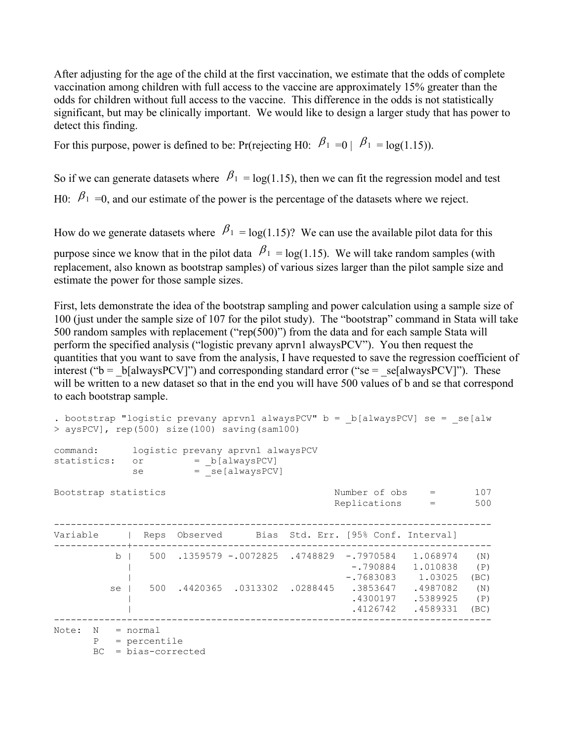After adjusting for the age of the child at the first vaccination, we estimate that the odds of complete vaccination among children with full access to the vaccine are approximately 15% greater than the odds for children without full access to the vaccine. This difference in the odds is not statistically significant, but may be clinically important. We would like to design a larger study that has power to detect this finding.

For this purpose, power is defined to be: Pr(rejecting H0:  $\beta_1 = 0$  |  $\beta_1 = \log(1.15)$ ).

So if we can generate datasets where  $\beta_1 = \log(1.15)$ , then we can fit the regression model and test H0:  $\beta_1 = 0$ , and our estimate of the power is the percentage of the datasets where we reject.

How do we generate datasets where  $\beta_1 = \log(1.15)$ ? We can use the available pilot data for this

purpose since we know that in the pilot data  $\beta_1 = \log(1.15)$ . We will take random samples (with replacement, also known as bootstrap samples) of various sizes larger than the pilot sample size and estimate the power for those sample sizes.

First, lets demonstrate the idea of the bootstrap sampling and power calculation using a sample size of 100 (just under the sample size of 107 for the pilot study). The "bootstrap" command in Stata will take 500 random samples with replacement ("rep(500)") from the data and for each sample Stata will perform the specified analysis ("logistic prevany aprvn1 alwaysPCV"). You then request the quantities that you want to save from the analysis, I have requested to save the regression coefficient of interest (" $b = b[alwaysPCV]$ ") and corresponding standard error (" $se = se[alwaysPCV]$ "). These will be written to a new dataset so that in the end you will have 500 values of b and se that correspond to each bootstrap sample.

```
. bootstrap "logistic prevany aprvn1 alwaysPCV" b = b[alwaysPCV] se = se[alw
> aysPCV], rep(500) size(100) saving(sam100) 
command: logistic prevany aprvn1 alwaysPCV 
statistics: or = _b[alwaysPCV]
se = se[alwaysPCV]
Bootstrap statistics \begin{array}{ccc} \text{Number of obs} & = & 107 \\ \text{Replications} & = & 500 \end{array}Replications
------------------------------------------------------------------------------ 
Variable | Reps Observed Bias Std. Err. [95% Conf. Interval] 
-------------+---------------------------------------------------------------- 
         b | 500 .1359579 -.0072825 .4748829 -.7970584 1.068974 (N) 
           | -.790884 1.010838 (P) 
                                         | -.7683083 1.03025 (BC) 
         se | 500 .4420365 .0313302 .0288445 .3853647
           (M) 1987082 .4420365 .0313302 .0288445 .3853647 .4987082 .<br>(P) 5389925 .5389925
            | .4126742 .4589331 (BC) 
------------------------------------------------------------------------------ 
Note: N = normal P = percentile 
      BC = bias-corrected
```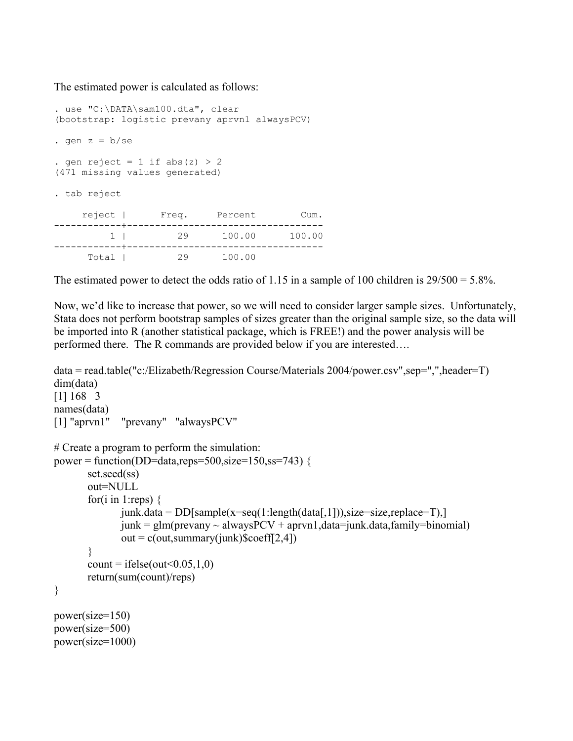The estimated power is calculated as follows:

```
. use "C:\DATA\sam100.dta", clear 
(bootstrap: logistic prevany aprvn1 alwaysPCV) 
. gen z = b/sec. gen reject = 1 if abs(z) > 2
(471 missing values generated) 
. tab reject 
    reject | Freq. Percent Cum. 
------------+----------------------------------- 
        1 | 29 100.00 100.00 
------------+----------------------------------- 
      Total | 29 100.00
```
The estimated power to detect the odds ratio of 1.15 in a sample of 100 children is  $29/500 = 5.8\%$ .

Now, we'd like to increase that power, so we will need to consider larger sample sizes. Unfortunately, Stata does not perform bootstrap samples of sizes greater than the original sample size, so the data will be imported into R (another statistical package, which is FREE!) and the power analysis will be performed there. The R commands are provided below if you are interested….

```
data = read.table("c:/Elizabeth/Regression Course/Materials 2004/power.csv",sep=",",header=T) 
dim(data) 
[1] 168 3 
names(data) 
[1] "aprvn1" "prevany" "alwaysPCV" 
# Create a program to perform the simulation: 
power = function(DD=data,reps=500,size=150,ss=743) {
        set.seed(ss) 
        out=NULL 
       for(i in 1:reps) \{junk.data = DD[sample(x=seq(1:length(data[,1])), size=size, replace=T),]junk = glm(prevany ~ always PCV + aprvn1, data=junk.data, family=binomial)out = c(out, summary(junk)$coeff[2,4])
        } 
       count = ifelse(out<0.05,1,0) return(sum(count)/reps) 
} 
power(size=150) 
power(size=500) 
power(size=1000)
```